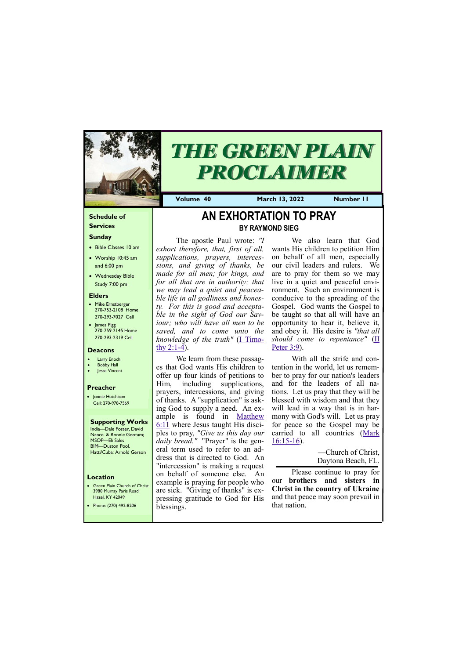#### **Schedule of Services**

#### **Sunday**

- Bible Classes 10 am
- Worship 10:45 am and 6:00 pm
- Wednesday Bible Study 7:00 pm

• Green Plain Church of Christ 3980 Murray Paris Road  $H_{270}$  KY  $4'$ 

#### **Elders**

- Mike Ernstberger 270-753-2108 Home 270-293-7027 Cell
- James Pigg 270-759-2145 Home 270-293-2319 Cell

#### **Location**

The apostle Paul wrote: *"I exhort therefore, that, first of all, supplications, prayers, intercessions, and giving of thanks, be made for all men; for kings, and for all that are in authority; that we may lead a quiet and peaceable life in all godliness and honesty. For this is good and acceptable in the sight of God our Saviour; who will have all men to be saved, and to come unto the knowledge of the truth"* [\(I Timo](https://biblia.com/bible/nkjv/1%20Tim%202.1-4)thy  $2:1-4$ ).



# *THE GREEN PLAIN PROCLAIMER*

**Volume 40 March 13, 2022 Number 11**

#### **Deacons**

- **Larry Enoch**
- **Bobby Hall**
- Jesse Vincent

#### **Preacher**

• Jonnie Hutchison Cell: 270-978-7569

#### **Supporting Works** India—Dale Foster, David

Nance. & Ronnie Gootam; MSOP—Eli Sales BIM—Duston Pool. Hatti/Cuba: Arnold Gerson

# **AN EXHORTATION TO PRAY BY RAYMOND SIEG**

With all the strife and contention in the world, let us remember to pray for our nation's leaders and for the leaders of all nations. Let us pray that they will be blessed with wisdom and that they will lead in a way that is in harmony with God's will. Let us pray for peace so the Gospel may be carried to all countries ([Mark](https://biblia.com/bible/nkjv/Mark%2016.15-16)   $16:15-16$  $16:15-16$ ).

We learn from these passages that God wants His children to offer up four kinds of petitions to Him, including supplications, prayers, intercessions, and giving of thanks. A "supplication" is asking God to supply a need. An example is found in <u>Matthew</u> [6:11](https://biblia.com/bible/nkjv/Matt%206.11) where Jesus taught His disciples to pray, *"Give us this day our daily bread."* "Prayer" is the general term used to refer to an address that is directed to God. An "intercession" is making a request on behalf of someone else. An example is praying for people who are sick. "Giving of thanks" is ex-

| Hazel, KY 42049       | <b>T</b> pressing gratitude to God for His | and that peace may soon prevail in |
|-----------------------|--------------------------------------------|------------------------------------|
| Phone: (270) 492-8206 | blessings.                                 | that nation.                       |
|                       |                                            |                                    |
|                       |                                            |                                    |

We also learn that God wants His children to petition Him on behalf of all men, especially our civil leaders and rulers. We are to pray for them so we may live in a quiet and peaceful environment. Such an environment is conducive to the spreading of the Gospel. God wants the Gospel to be taught so that all will have an opportunity to hear it, believe it, and obey it. His desire is *"that all should come to repentance"* ([II](https://biblia.com/bible/nkjv/2%20Pet%203.9)  [Peter 3:9\).](https://biblia.com/bible/nkjv/2%20Pet%203.9)

> —Church of Christ, Daytona Beach, FL.

Please continue to pray for our **brothers and sisters in Christ in the country of Ukraine**  and that peace may soon prevail in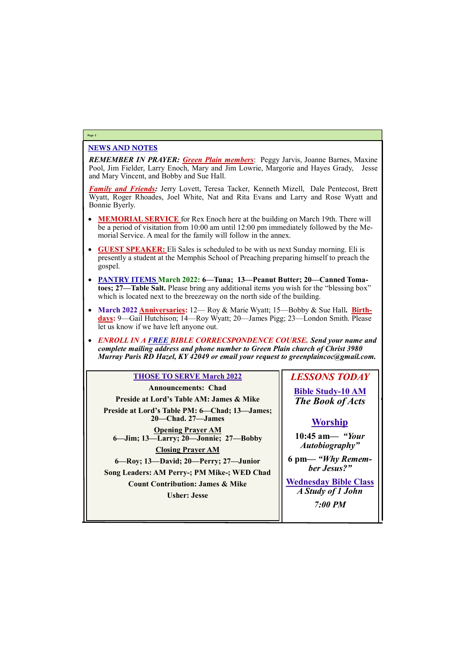#### NEWS AND NOTES

*REMEMBER IN PRAYER: Green Plain members*: Peggy Jarvis, Joanne Barnes, Maxine Pool, Jim Fielder, Larry Enoch, Mary and Jim Lowrie, Margorie and Hayes Grady, Jesse and Mary Vincent, and Bobby and Sue Hall.

*Family and Friends:* Jerry Lovett, Teresa Tacker, Kenneth Mizell, Dale Pentecost, Brett Wyatt, Roger Rhoades, Joel White, Nat and Rita Evans and Larry and Rose Wyatt and Bonnie Byerly.

- **MEMORIAL SERVICE** for Rex Enoch here at the building on March 19th. There will be a period of visitation from 10:00 am until 12:00 pm immediately followed by the Memorial Service. A meal for the family will follow in the annex.
- **GUEST SPEAKER:** Eli Sales is scheduled to be with us next Sunday morning. Eli is presently a student at the Memphis School of Preaching preparing himself to preach the gospel.
- **PANTRY ITEMS March 2022: 6—Tuna; 13—Peanut Butter; 20—Canned Tomatoes; 27—Table Salt.** Please bring any additional items you wish for the "blessing box" which is located next to the breezeway on the north side of the building.
- March 2022 **Anniversaries:** 12— Roy & Marie Wyatt; 15—Bobby & Sue Hall. **Birthdays:** 9—Gail Hutchison; 14—Roy Wyatt; 20—James Pigg; 23—London Smith. Please let us know if we have left anyone out.
- *ENROLL IN A FREE BIBLE CORRECSPONDENCE COURSE. Send your name and complete mailing address and phone number to Green Plain church of Christ 3980 Murray Paris RD Hazel, KY 42049 or email your request to greenplaincoc@gmail.com.*

#### **Page 2**

#### **THOSE TO SERVE March 2022**

**Announcements: Chad Preside at Lord's Table AM: James & Mike Preside at Lord's Table PM: 6—Chad; 13—James; 20—Chad. 27—James Opening Prayer AM 6—Jim; 13—Larry; 20—Jonnie; 27—Bobby Closing Prayer AM 6—Roy; 13—David; 20—Perry; 27—Junior Song Leaders: AM Perry-; PM Mike-; WED Chad Count Contribution: James & Mike Usher: Jesse**

## *LESSONS TODAY*

**Bible Study-10 AM** *The Book of Acts*

### **Worship**

**10:45 am***— "Your Autobiography"*

**6 pm—** *"Why Remember Jesus?"*

**Wednesday Bible Class** *A Study of 1 John*

| 7:00 PM |
|---------|
|         |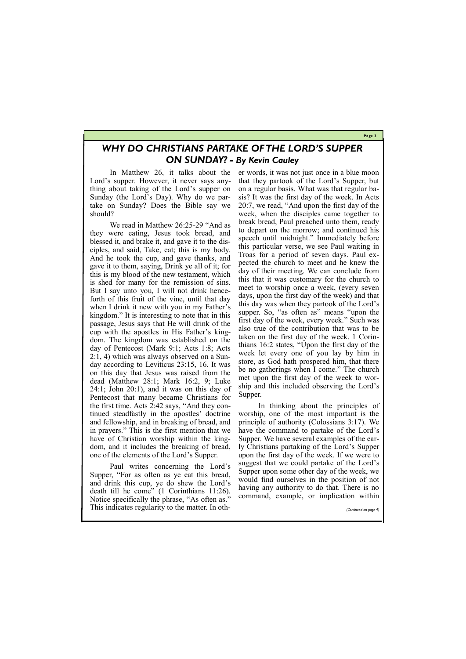**Page 3**

### *WHY DO CHRISTIANS PARTAKE OF THE LORD'S SUPPER ON SUNDAY? - By Kevin Cauley*

In Matthew 26, it talks about the Lord's supper. However, it never says anything about taking of the Lord's supper on Sunday (the Lord's Day). Why do we partake on Sunday? Does the Bible say we should?

We read in Matthew 26:25-29 "And as they were eating, Jesus took bread, and blessed it, and brake it, and gave it to the disciples, and said, Take, eat; this is my body. And he took the cup, and gave thanks, and gave it to them, saying, Drink ye all of it; for this is my blood of the new testament, which is shed for many for the remission of sins. But I say unto you, I will not drink henceforth of this fruit of the vine, until that day when I drink it new with you in my Father's kingdom." It is interesting to note that in this passage, Jesus says that He will drink of the cup with the apostles in His Father's kingdom. The kingdom was established on the day of Pentecost (Mark 9:1; Acts 1:8; Acts 2:1, 4) which was always observed on a Sunday according to Leviticus 23:15, 16. It was on this day that Jesus was raised from the dead (Matthew 28:1; Mark 16:2, 9; Luke 24:1; John 20:1), and it was on this day of Pentecost that many became Christians for the first time. Acts 2:42 says, "And they continued steadfastly in the apostles' doctrine and fellowship, and in breaking of bread, and in prayers." This is the first mention that we have of Christian worship within the kingdom, and it includes the breaking of bread, one of the elements of the Lord's Supper.

Paul writes concerning the Lord's Supper, "For as often as ye eat this bread, and drink this cup, ye do shew the Lord's death till he come" (1 Corinthians 11:26).

er words, it was not just once in a blue moon that they partook of the Lord's Supper, but on a regular basis. What was that regular basis? It was the first day of the week. In Acts 20:7, we read, "And upon the first day of the week, when the disciples came together to break bread, Paul preached unto them, ready to depart on the morrow; and continued his speech until midnight." Immediately before this particular verse, we see Paul waiting in Troas for a period of seven days. Paul expected the church to meet and he knew the day of their meeting. We can conclude from this that it was customary for the church to meet to worship once a week, (every seven days, upon the first day of the week) and that this day was when they partook of the Lord's supper. So, "as often as" means "upon the first day of the week, every week." Such was also true of the contribution that was to be taken on the first day of the week. 1 Corinthians 16:2 states, "Upon the first day of the week let every one of you lay by him in store, as God hath prospered him, that there be no gatherings when I come." The church met upon the first day of the week to worship and this included observing the Lord's Supper.

| Notice specifically the phrase, "As often as."   |  | command, example, or implication within |                       |
|--------------------------------------------------|--|-----------------------------------------|-----------------------|
| This indicates regularity to the matter. In oth- |  |                                         | (Continued on page 4) |
|                                                  |  |                                         |                       |

In thinking about the principles of worship, one of the most important is the principle of authority (Colossians 3:17). We have the command to partake of the Lord's Supper. We have several examples of the early Christians partaking of the Lord's Supper upon the first day of the week. If we were to suggest that we could partake of the Lord's Supper upon some other day of the week, we would find ourselves in the position of not having any authority to do that. There is no command, example, or implication within